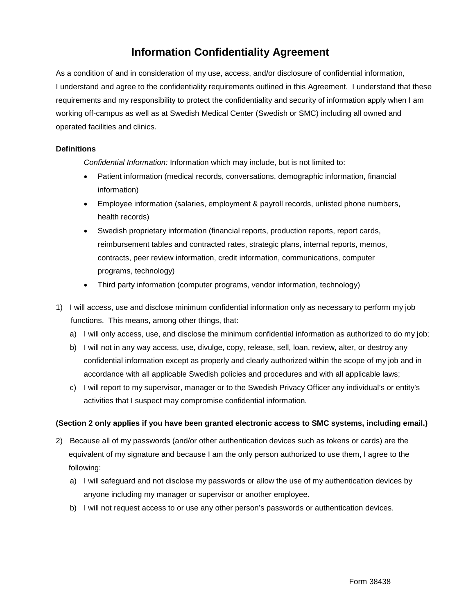## **Information Confidentiality Agreement**

As a condition of and in consideration of my use, access, and/or disclosure of confidential information, I understand and agree to the confidentiality requirements outlined in this Agreement. I understand that these requirements and my responsibility to protect the confidentiality and security of information apply when I am working off-campus as well as at Swedish Medical Center (Swedish or SMC) including all owned and operated facilities and clinics.

## **Definitions**

*Confidential Information:* Information which may include, but is not limited to:

- Patient information (medical records, conversations, demographic information, financial information)
- Employee information (salaries, employment & payroll records, unlisted phone numbers, health records)
- Swedish proprietary information (financial reports, production reports, report cards, reimbursement tables and contracted rates, strategic plans, internal reports, memos, contracts, peer review information, credit information, communications, computer programs, technology)
- Third party information (computer programs, vendor information, technology)
- 1) I will access, use and disclose minimum confidential information only as necessary to perform my job functions. This means, among other things, that:
	- a) I will only access, use, and disclose the minimum confidential information as authorized to do my job;
	- b) I will not in any way access, use, divulge, copy, release, sell, loan, review, alter, or destroy any confidential information except as properly and clearly authorized within the scope of my job and in accordance with all applicable Swedish policies and procedures and with all applicable laws;
	- c) I will report to my supervisor, manager or to the Swedish Privacy Officer any individual's or entity's activities that I suspect may compromise confidential information.

## **(Section 2 only applies if you have been granted electronic access to SMC systems, including email.)**

- 2) Because all of my passwords (and/or other authentication devices such as tokens or cards) are the equivalent of my signature and because I am the only person authorized to use them, I agree to the following:
	- a) I will safeguard and not disclose my passwords or allow the use of my authentication devices by anyone including my manager or supervisor or another employee.
	- b) I will not request access to or use any other person's passwords or authentication devices.